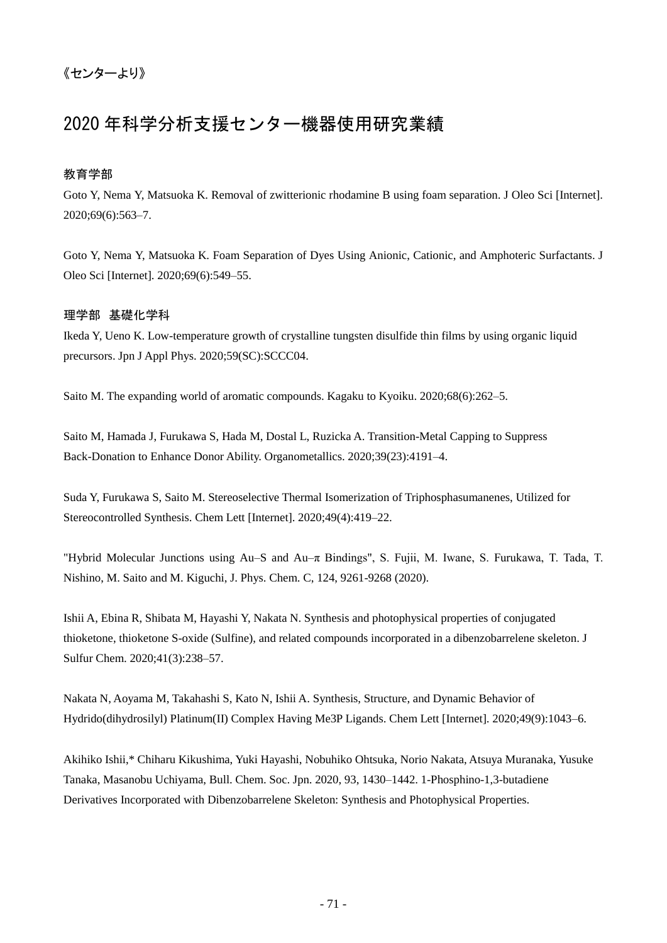# 2020 年科学分析支援センター機器使用研究業績

### 教育学部

Goto Y, Nema Y, Matsuoka K. Removal of zwitterionic rhodamine B using foam separation. J Oleo Sci [Internet]. 2020;69(6):563–7.

Goto Y, Nema Y, Matsuoka K. Foam Separation of Dyes Using Anionic, Cationic, and Amphoteric Surfactants. J Oleo Sci [Internet]. 2020;69(6):549–55.

### 理学部 基礎化学科

Ikeda Y, Ueno K. Low-temperature growth of crystalline tungsten disulfide thin films by using organic liquid precursors. Jpn J Appl Phys. 2020;59(SC):SCCC04.

Saito M. The expanding world of aromatic compounds. Kagaku to Kyoiku. 2020;68(6):262–5.

Saito M, Hamada J, Furukawa S, Hada M, Dostal L, Ruzicka A. Transition-Metal Capping to Suppress Back-Donation to Enhance Donor Ability. Organometallics. 2020;39(23):4191–4.

Suda Y, Furukawa S, Saito M. Stereoselective Thermal Isomerization of Triphosphasumanenes, Utilized for Stereocontrolled Synthesis. Chem Lett [Internet]. 2020;49(4):419–22.

"Hybrid Molecular Junctions using Au–S and Au–π Bindings", S. Fujii, M. Iwane, S. Furukawa, T. Tada, T. Nishino, M. Saito and M. Kiguchi, J. Phys. Chem. C, 124, 9261-9268 (2020).

Ishii A, Ebina R, Shibata M, Hayashi Y, Nakata N. Synthesis and photophysical properties of conjugated thioketone, thioketone S-oxide (Sulfine), and related compounds incorporated in a dibenzobarrelene skeleton. J Sulfur Chem. 2020;41(3):238–57.

Nakata N, Aoyama M, Takahashi S, Kato N, Ishii A. Synthesis, Structure, and Dynamic Behavior of Hydrido(dihydrosilyl) Platinum(II) Complex Having Me3P Ligands. Chem Lett [Internet]. 2020;49(9):1043–6.

Akihiko Ishii,\* Chiharu Kikushima, Yuki Hayashi, Nobuhiko Ohtsuka, Norio Nakata, Atsuya Muranaka, Yusuke Tanaka, Masanobu Uchiyama, Bull. Chem. Soc. Jpn. 2020, 93, 1430–1442. 1-Phosphino-1,3-butadiene Derivatives Incorporated with Dibenzobarrelene Skeleton: Synthesis and Photophysical Properties.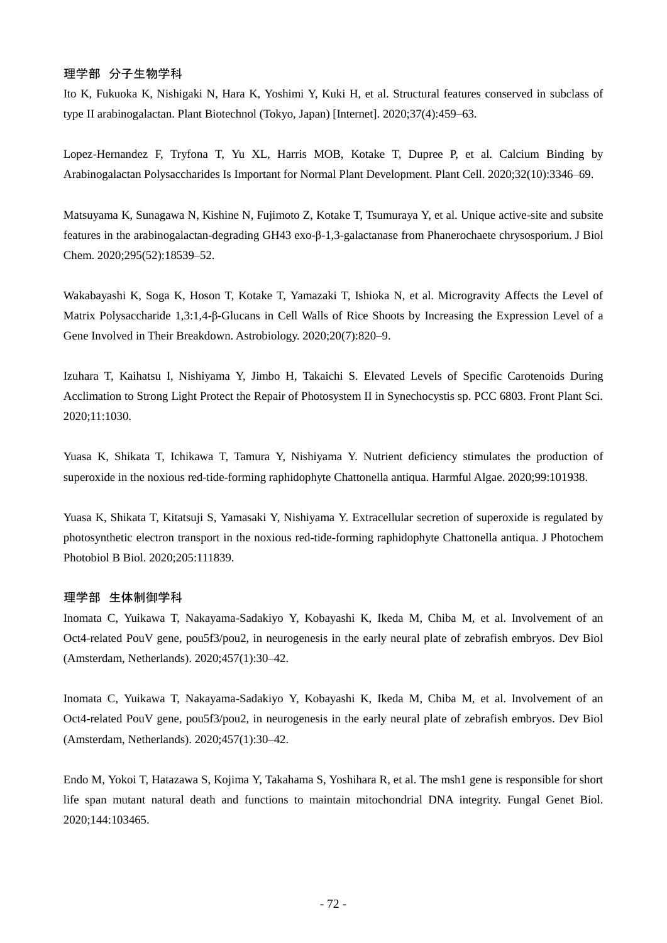## 理学部 分子生物学科

Ito K, Fukuoka K, Nishigaki N, Hara K, Yoshimi Y, Kuki H, et al. Structural features conserved in subclass of type II arabinogalactan. Plant Biotechnol (Tokyo, Japan) [Internet]. 2020;37(4):459–63.

Lopez-Hernandez F, Tryfona T, Yu XL, Harris MOB, Kotake T, Dupree P, et al. Calcium Binding by Arabinogalactan Polysaccharides Is Important for Normal Plant Development. Plant Cell. 2020;32(10):3346–69.

Matsuyama K, Sunagawa N, Kishine N, Fujimoto Z, Kotake T, Tsumuraya Y, et al. Unique active-site and subsite features in the arabinogalactan-degrading GH43 exo-β-1,3-galactanase from Phanerochaete chrysosporium. J Biol Chem. 2020;295(52):18539–52.

Wakabayashi K, Soga K, Hoson T, Kotake T, Yamazaki T, Ishioka N, et al. Microgravity Affects the Level of Matrix Polysaccharide 1,3:1,4-β-Glucans in Cell Walls of Rice Shoots by Increasing the Expression Level of a Gene Involved in Their Breakdown. Astrobiology. 2020;20(7):820–9.

Izuhara T, Kaihatsu I, Nishiyama Y, Jimbo H, Takaichi S. Elevated Levels of Specific Carotenoids During Acclimation to Strong Light Protect the Repair of Photosystem II in Synechocystis sp. PCC 6803. Front Plant Sci. 2020;11:1030.

Yuasa K, Shikata T, Ichikawa T, Tamura Y, Nishiyama Y. Nutrient deficiency stimulates the production of superoxide in the noxious red-tide-forming raphidophyte Chattonella antiqua. Harmful Algae. 2020;99:101938.

Yuasa K, Shikata T, Kitatsuji S, Yamasaki Y, Nishiyama Y. Extracellular secretion of superoxide is regulated by photosynthetic electron transport in the noxious red-tide-forming raphidophyte Chattonella antiqua. J Photochem Photobiol B Biol. 2020;205:111839.

#### 理学部 生体制御学科

Inomata C, Yuikawa T, Nakayama-Sadakiyo Y, Kobayashi K, Ikeda M, Chiba M, et al. Involvement of an Oct4-related PouV gene, pou5f3/pou2, in neurogenesis in the early neural plate of zebrafish embryos. Dev Biol (Amsterdam, Netherlands). 2020;457(1):30–42.

Inomata C, Yuikawa T, Nakayama-Sadakiyo Y, Kobayashi K, Ikeda M, Chiba M, et al. Involvement of an Oct4-related PouV gene, pou5f3/pou2, in neurogenesis in the early neural plate of zebrafish embryos. Dev Biol (Amsterdam, Netherlands). 2020;457(1):30–42.

Endo M, Yokoi T, Hatazawa S, Kojima Y, Takahama S, Yoshihara R, et al. The msh1 gene is responsible for short life span mutant natural death and functions to maintain mitochondrial DNA integrity. Fungal Genet Biol. 2020;144:103465.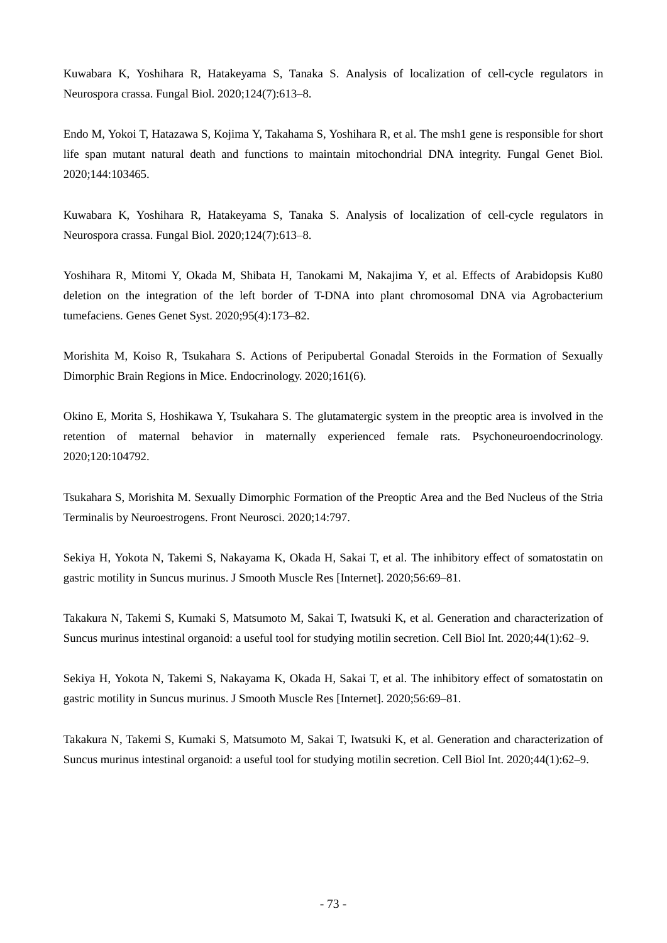Kuwabara K, Yoshihara R, Hatakeyama S, Tanaka S. Analysis of localization of cell-cycle regulators in Neurospora crassa. Fungal Biol. 2020;124(7):613–8.

Endo M, Yokoi T, Hatazawa S, Kojima Y, Takahama S, Yoshihara R, et al. The msh1 gene is responsible for short life span mutant natural death and functions to maintain mitochondrial DNA integrity. Fungal Genet Biol. 2020;144:103465.

Kuwabara K, Yoshihara R, Hatakeyama S, Tanaka S. Analysis of localization of cell-cycle regulators in Neurospora crassa. Fungal Biol. 2020;124(7):613–8.

Yoshihara R, Mitomi Y, Okada M, Shibata H, Tanokami M, Nakajima Y, et al. Effects of Arabidopsis Ku80 deletion on the integration of the left border of T-DNA into plant chromosomal DNA via Agrobacterium tumefaciens. Genes Genet Syst. 2020;95(4):173–82.

Morishita M, Koiso R, Tsukahara S. Actions of Peripubertal Gonadal Steroids in the Formation of Sexually Dimorphic Brain Regions in Mice. Endocrinology. 2020;161(6).

Okino E, Morita S, Hoshikawa Y, Tsukahara S. The glutamatergic system in the preoptic area is involved in the retention of maternal behavior in maternally experienced female rats. Psychoneuroendocrinology. 2020;120:104792.

Tsukahara S, Morishita M. Sexually Dimorphic Formation of the Preoptic Area and the Bed Nucleus of the Stria Terminalis by Neuroestrogens. Front Neurosci. 2020;14:797.

Sekiya H, Yokota N, Takemi S, Nakayama K, Okada H, Sakai T, et al. The inhibitory effect of somatostatin on gastric motility in Suncus murinus. J Smooth Muscle Res [Internet]. 2020;56:69–81.

Takakura N, Takemi S, Kumaki S, Matsumoto M, Sakai T, Iwatsuki K, et al. Generation and characterization of Suncus murinus intestinal organoid: a useful tool for studying motilin secretion. Cell Biol Int. 2020;44(1):62–9.

Sekiya H, Yokota N, Takemi S, Nakayama K, Okada H, Sakai T, et al. The inhibitory effect of somatostatin on gastric motility in Suncus murinus. J Smooth Muscle Res [Internet]. 2020;56:69–81.

Takakura N, Takemi S, Kumaki S, Matsumoto M, Sakai T, Iwatsuki K, et al. Generation and characterization of Suncus murinus intestinal organoid: a useful tool for studying motilin secretion. Cell Biol Int. 2020;44(1):62–9.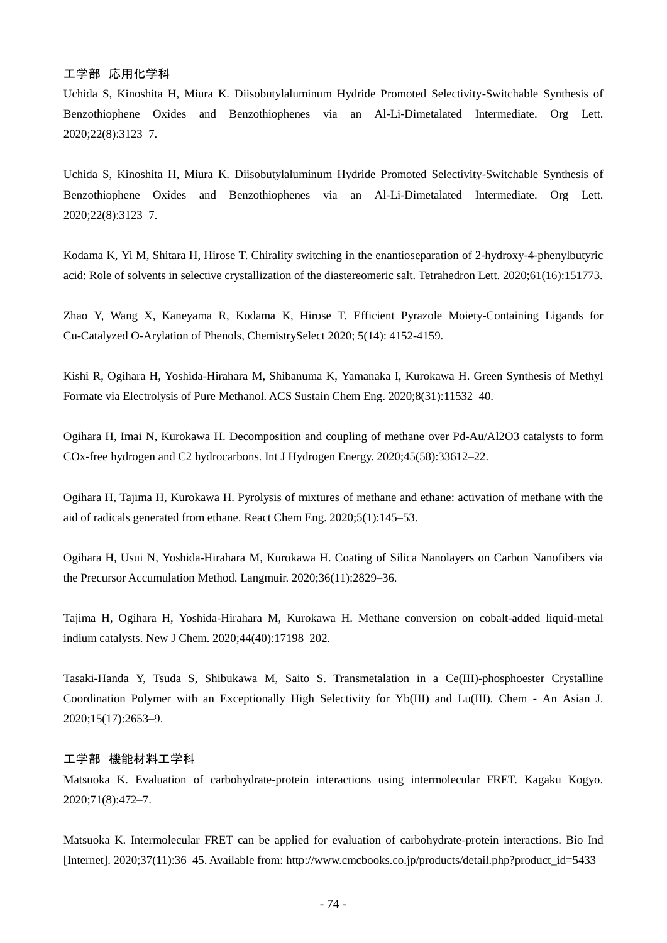## 工学部 応用化学科

Uchida S, Kinoshita H, Miura K. Diisobutylaluminum Hydride Promoted Selectivity-Switchable Synthesis of Benzothiophene Oxides and Benzothiophenes via an Al-Li-Dimetalated Intermediate. Org Lett. 2020;22(8):3123–7.

Uchida S, Kinoshita H, Miura K. Diisobutylaluminum Hydride Promoted Selectivity-Switchable Synthesis of Benzothiophene Oxides and Benzothiophenes via an Al-Li-Dimetalated Intermediate. Org Lett. 2020;22(8):3123–7.

Kodama K, Yi M, Shitara H, Hirose T. Chirality switching in the enantioseparation of 2-hydroxy-4-phenylbutyric acid: Role of solvents in selective crystallization of the diastereomeric salt. Tetrahedron Lett. 2020;61(16):151773.

Zhao Y, Wang X, Kaneyama R, Kodama K, Hirose T. Efficient Pyrazole Moiety-Containing Ligands for Cu-Catalyzed O-Arylation of Phenols, ChemistrySelect 2020; 5(14): 4152-4159.

Kishi R, Ogihara H, Yoshida-Hirahara M, Shibanuma K, Yamanaka I, Kurokawa H. Green Synthesis of Methyl Formate via Electrolysis of Pure Methanol. ACS Sustain Chem Eng. 2020;8(31):11532–40.

Ogihara H, Imai N, Kurokawa H. Decomposition and coupling of methane over Pd-Au/Al2O3 catalysts to form COx-free hydrogen and C2 hydrocarbons. Int J Hydrogen Energy. 2020;45(58):33612–22.

Ogihara H, Tajima H, Kurokawa H. Pyrolysis of mixtures of methane and ethane: activation of methane with the aid of radicals generated from ethane. React Chem Eng. 2020;5(1):145–53.

Ogihara H, Usui N, Yoshida-Hirahara M, Kurokawa H. Coating of Silica Nanolayers on Carbon Nanofibers via the Precursor Accumulation Method. Langmuir. 2020;36(11):2829–36.

Tajima H, Ogihara H, Yoshida-Hirahara M, Kurokawa H. Methane conversion on cobalt-added liquid-metal indium catalysts. New J Chem. 2020;44(40):17198–202.

Tasaki-Handa Y, Tsuda S, Shibukawa M, Saito S. Transmetalation in a Ce(III)-phosphoester Crystalline Coordination Polymer with an Exceptionally High Selectivity for Yb(III) and Lu(III). Chem - An Asian J. 2020;15(17):2653–9.

# 工学部 機能材料工学科

Matsuoka K. Evaluation of carbohydrate-protein interactions using intermolecular FRET. Kagaku Kogyo. 2020;71(8):472–7.

Matsuoka K. Intermolecular FRET can be applied for evaluation of carbohydrate-protein interactions. Bio Ind [Internet]. 2020;37(11):36–45. Available from: http://www.cmcbooks.co.jp/products/detail.php?product\_id=5433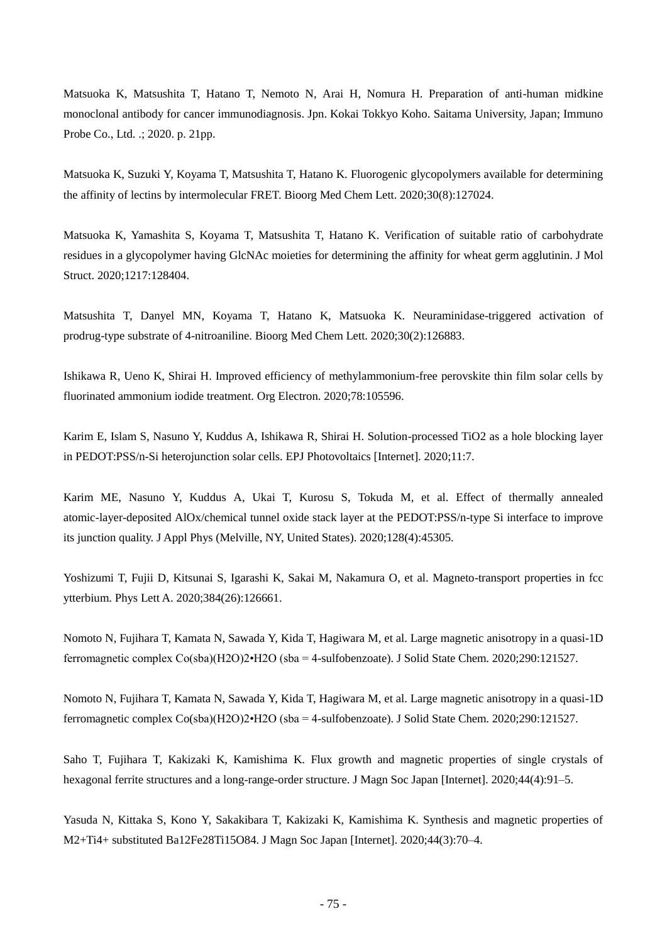Matsuoka K, Matsushita T, Hatano T, Nemoto N, Arai H, Nomura H. Preparation of anti-human midkine monoclonal antibody for cancer immunodiagnosis. Jpn. Kokai Tokkyo Koho. Saitama University, Japan; Immuno Probe Co., Ltd. .; 2020. p. 21pp.

Matsuoka K, Suzuki Y, Koyama T, Matsushita T, Hatano K. Fluorogenic glycopolymers available for determining the affinity of lectins by intermolecular FRET. Bioorg Med Chem Lett. 2020;30(8):127024.

Matsuoka K, Yamashita S, Koyama T, Matsushita T, Hatano K. Verification of suitable ratio of carbohydrate residues in a glycopolymer having GlcNAc moieties for determining the affinity for wheat germ agglutinin. J Mol Struct. 2020;1217:128404.

Matsushita T, Danyel MN, Koyama T, Hatano K, Matsuoka K. Neuraminidase-triggered activation of prodrug-type substrate of 4-nitroaniline. Bioorg Med Chem Lett. 2020;30(2):126883.

Ishikawa R, Ueno K, Shirai H. Improved efficiency of methylammonium-free perovskite thin film solar cells by fluorinated ammonium iodide treatment. Org Electron. 2020;78:105596.

Karim E, Islam S, Nasuno Y, Kuddus A, Ishikawa R, Shirai H. Solution-processed TiO2 as a hole blocking layer in PEDOT:PSS/n-Si heterojunction solar cells. EPJ Photovoltaics [Internet]. 2020;11:7.

Karim ME, Nasuno Y, Kuddus A, Ukai T, Kurosu S, Tokuda M, et al. Effect of thermally annealed atomic-layer-deposited AlOx/chemical tunnel oxide stack layer at the PEDOT:PSS/n-type Si interface to improve its junction quality. J Appl Phys (Melville, NY, United States). 2020;128(4):45305.

Yoshizumi T, Fujii D, Kitsunai S, Igarashi K, Sakai M, Nakamura O, et al. Magneto-transport properties in fcc ytterbium. Phys Lett A. 2020;384(26):126661.

Nomoto N, Fujihara T, Kamata N, Sawada Y, Kida T, Hagiwara M, et al. Large magnetic anisotropy in a quasi-1D ferromagnetic complex Co(sba)(H2O)2•H2O (sba = 4-sulfobenzoate). J Solid State Chem. 2020;290:121527.

Nomoto N, Fujihara T, Kamata N, Sawada Y, Kida T, Hagiwara M, et al. Large magnetic anisotropy in a quasi-1D ferromagnetic complex Co(sba)(H2O)2•H2O (sba = 4-sulfobenzoate). J Solid State Chem. 2020;290:121527.

Saho T, Fujihara T, Kakizaki K, Kamishima K. Flux growth and magnetic properties of single crystals of hexagonal ferrite structures and a long-range-order structure. J Magn Soc Japan [Internet]. 2020;44(4):91–5.

Yasuda N, Kittaka S, Kono Y, Sakakibara T, Kakizaki K, Kamishima K. Synthesis and magnetic properties of M2+Ti4+ substituted Ba12Fe28Ti15O84. J Magn Soc Japan [Internet]. 2020;44(3):70–4.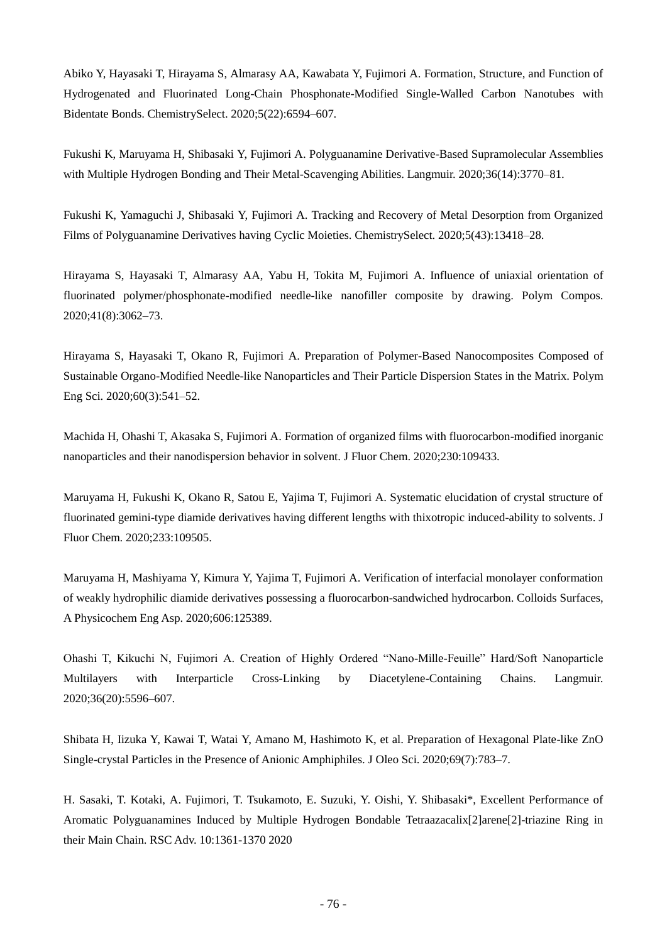Abiko Y, Hayasaki T, Hirayama S, Almarasy AA, Kawabata Y, Fujimori A. Formation, Structure, and Function of Hydrogenated and Fluorinated Long-Chain Phosphonate-Modified Single-Walled Carbon Nanotubes with Bidentate Bonds. ChemistrySelect. 2020;5(22):6594–607.

Fukushi K, Maruyama H, Shibasaki Y, Fujimori A. Polyguanamine Derivative-Based Supramolecular Assemblies with Multiple Hydrogen Bonding and Their Metal-Scavenging Abilities. Langmuir. 2020;36(14):3770–81.

Fukushi K, Yamaguchi J, Shibasaki Y, Fujimori A. Tracking and Recovery of Metal Desorption from Organized Films of Polyguanamine Derivatives having Cyclic Moieties. ChemistrySelect. 2020;5(43):13418–28.

Hirayama S, Hayasaki T, Almarasy AA, Yabu H, Tokita M, Fujimori A. Influence of uniaxial orientation of fluorinated polymer/phosphonate-modified needle-like nanofiller composite by drawing. Polym Compos. 2020;41(8):3062–73.

Hirayama S, Hayasaki T, Okano R, Fujimori A. Preparation of Polymer-Based Nanocomposites Composed of Sustainable Organo-Modified Needle-like Nanoparticles and Their Particle Dispersion States in the Matrix. Polym Eng Sci. 2020;60(3):541–52.

Machida H, Ohashi T, Akasaka S, Fujimori A. Formation of organized films with fluorocarbon-modified inorganic nanoparticles and their nanodispersion behavior in solvent. J Fluor Chem. 2020;230:109433.

Maruyama H, Fukushi K, Okano R, Satou E, Yajima T, Fujimori A. Systematic elucidation of crystal structure of fluorinated gemini-type diamide derivatives having different lengths with thixotropic induced-ability to solvents. J Fluor Chem. 2020;233:109505.

Maruyama H, Mashiyama Y, Kimura Y, Yajima T, Fujimori A. Verification of interfacial monolayer conformation of weakly hydrophilic diamide derivatives possessing a fluorocarbon-sandwiched hydrocarbon. Colloids Surfaces, A Physicochem Eng Asp. 2020;606:125389.

Ohashi T, Kikuchi N, Fujimori A. Creation of Highly Ordered "Nano-Mille-Feuille" Hard/Soft Nanoparticle Multilayers with Interparticle Cross-Linking by Diacetylene-Containing Chains. Langmuir. 2020;36(20):5596–607.

Shibata H, Iizuka Y, Kawai T, Watai Y, Amano M, Hashimoto K, et al. Preparation of Hexagonal Plate-like ZnO Single-crystal Particles in the Presence of Anionic Amphiphiles. J Oleo Sci. 2020;69(7):783–7.

H. Sasaki, T. Kotaki, A. Fujimori, T. Tsukamoto, E. Suzuki, Y. Oishi, Y. Shibasaki\*, Excellent Performance of Aromatic Polyguanamines Induced by Multiple Hydrogen Bondable Tetraazacalix[2]arene[2]-triazine Ring in their Main Chain. RSC Adv. 10:1361-1370 2020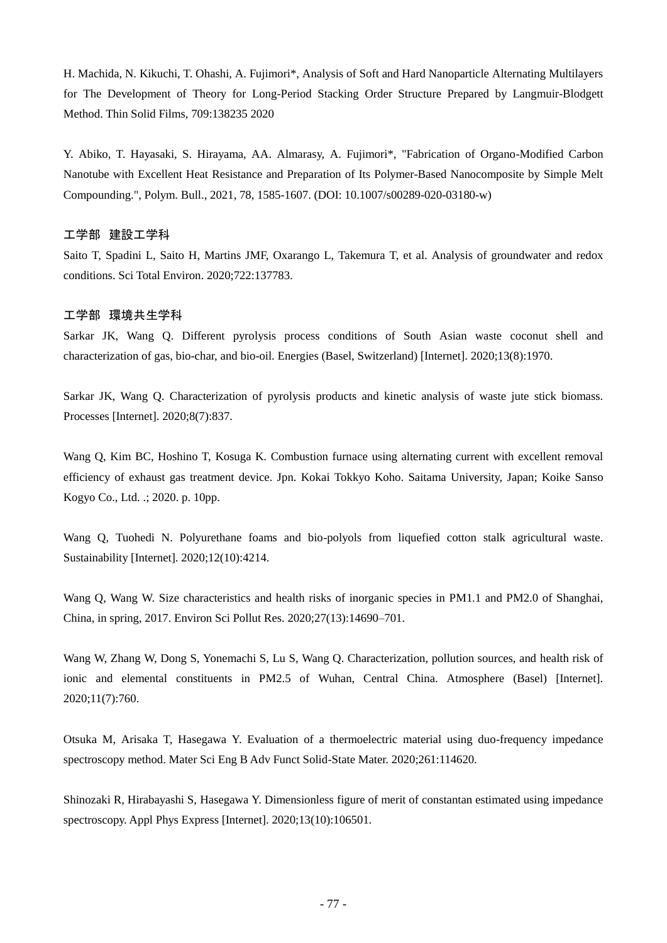H. Machida, N. Kikuchi, T. Ohashi, A. Fujimori\*, Analysis of Soft and Hard Nanoparticle Alternating Multilayers for The Development of Theory for Long-Period Stacking Order Structure Prepared by Langmuir-Blodgett Method. Thin Solid Films, 709:138235 2020

Y. Abiko, T. Hayasaki, S. Hirayama, AA. Almarasy, A. Fujimori\*, "Fabrication of Organo-Modified Carbon Nanotube with Excellent Heat Resistance and Preparation of Its Polymer-Based Nanocomposite by Simple Melt Compounding.", Polym. Bull., 2021, 78, 1585-1607. (DOI: 10.1007/s00289-020-03180-w)

### 工学部 建設工学科

Saito T, Spadini L, Saito H, Martins JMF, Oxarango L, Takemura T, et al. Analysis of groundwater and redox conditions. Sci Total Environ. 2020;722:137783.

#### 工学部 環境共生学科

Sarkar JK, Wang Q. Different pyrolysis process conditions of South Asian waste coconut shell and characterization of gas, bio-char, and bio-oil. Energies (Basel, Switzerland) [Internet]. 2020;13(8):1970.

Sarkar JK, Wang Q. Characterization of pyrolysis products and kinetic analysis of waste jute stick biomass. Processes [Internet]. 2020;8(7):837.

Wang Q, Kim BC, Hoshino T, Kosuga K. Combustion furnace using alternating current with excellent removal efficiency of exhaust gas treatment device. Jpn. Kokai Tokkyo Koho. Saitama University, Japan; Koike Sanso Kogyo Co., Ltd. .; 2020. p. 10pp.

Wang Q, Tuohedi N. Polyurethane foams and bio-polyols from liquefied cotton stalk agricultural waste. Sustainability [Internet]. 2020;12(10):4214.

Wang Q, Wang W. Size characteristics and health risks of inorganic species in PM1.1 and PM2.0 of Shanghai, China, in spring, 2017. Environ Sci Pollut Res. 2020;27(13):14690–701.

Wang W, Zhang W, Dong S, Yonemachi S, Lu S, Wang Q. Characterization, pollution sources, and health risk of ionic and elemental constituents in PM2.5 of Wuhan, Central China. Atmosphere (Basel) [Internet]. 2020;11(7):760.

Otsuka M, Arisaka T, Hasegawa Y. Evaluation of a thermoelectric material using duo-frequency impedance spectroscopy method. Mater Sci Eng B Adv Funct Solid-State Mater. 2020;261:114620.

Shinozaki R, Hirabayashi S, Hasegawa Y. Dimensionless figure of merit of constantan estimated using impedance spectroscopy. Appl Phys Express [Internet]. 2020;13(10):106501.